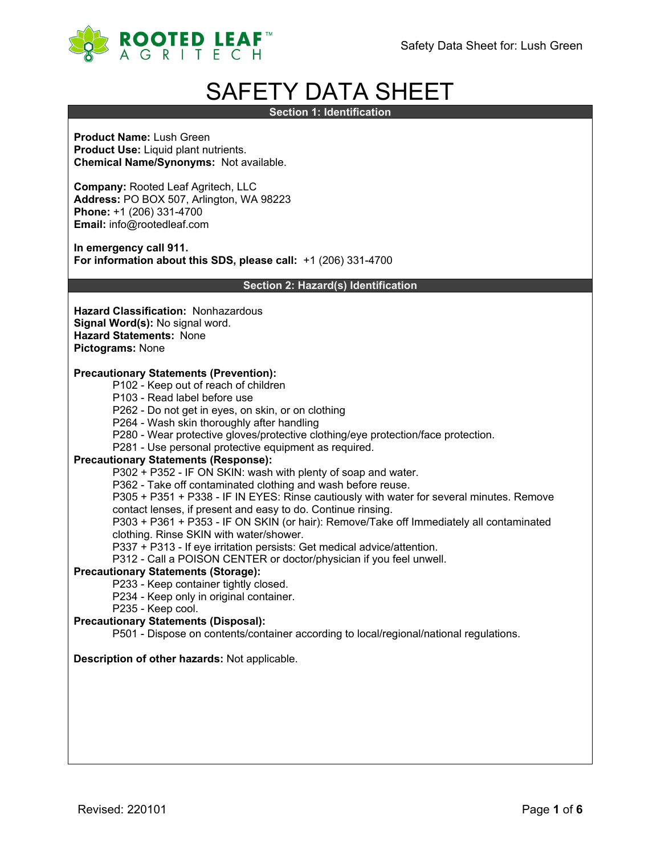

# SAFETY DATA SHEET

**Section 1: Identification**

**Product Name:** Lush Green **Product Use:** Liquid plant nutrients. **Chemical Name/Synonyms:** Not available.

**Company:** Rooted Leaf Agritech, LLC **Address:** PO BOX 507, Arlington, WA 98223 **Phone:** +1 (206) 331-4700 **Email:** info@rootedleaf.com

**In emergency call 911. For information about this SDS, please call:** +1 (206) 331-4700

**Section 2: Hazard(s) Identification**

**Hazard Classification:** Nonhazardous **Signal Word(s):** No signal word. **Hazard Statements:** None **Pictograms:** None

### **Precautionary Statements (Prevention):**

- P102 Keep out of reach of children
- P103 Read label before use
- P262 Do not get in eyes, on skin, or on clothing
- P264 Wash skin thoroughly after handling
- P280 Wear protective gloves/protective clothing/eye protection/face protection.
- P281 Use personal protective equipment as required.

#### **Precautionary Statements (Response):**

P302 + P352 - IF ON SKIN: wash with plenty of soap and water.

P362 - Take off contaminated clothing and wash before reuse.

P305 + P351 + P338 - IF IN EYES: Rinse cautiously with water for several minutes. Remove

- contact lenses, if present and easy to do. Continue rinsing.
- P303 + P361 + P353 IF ON SKIN (or hair): Remove/Take off Immediately all contaminated clothing. Rinse SKIN with water/shower.
- P337 + P313 If eye irritation persists: Get medical advice/attention.
- P312 Call a POISON CENTER or doctor/physician if you feel unwell.

#### **Precautionary Statements (Storage):**

- P233 Keep container tightly closed.
- P234 Keep only in original container.
- P235 Keep cool.

# **Precautionary Statements (Disposal):**

P501 - Dispose on contents/container according to local/regional/national regulations.

# **Description of other hazards:** Not applicable.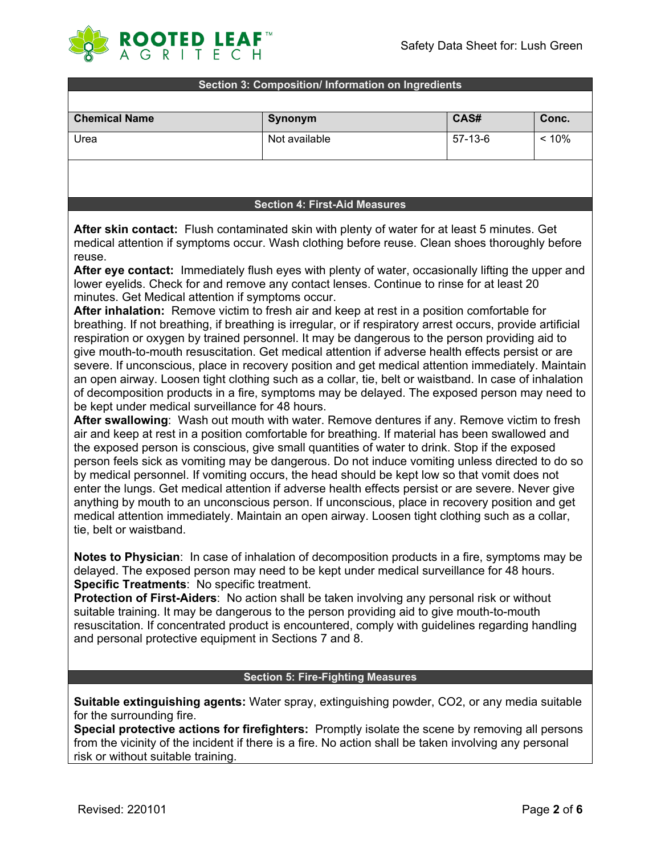

#### **Section 3: Composition/ Information on Ingredients**

| <b>Chemical Name</b> | Synonym       | CAS#    | Conc. |
|----------------------|---------------|---------|-------|
| Urea                 | Not available | 57-13-6 | < 10% |
|                      |               |         |       |

#### **Section 4: First-Aid Measures**

**After skin contact:** Flush contaminated skin with plenty of water for at least 5 minutes. Get medical attention if symptoms occur. Wash clothing before reuse. Clean shoes thoroughly before reuse.

**After eye contact:** Immediately flush eyes with plenty of water, occasionally lifting the upper and lower eyelids. Check for and remove any contact lenses. Continue to rinse for at least 20 minutes. Get Medical attention if symptoms occur.

**After inhalation:** Remove victim to fresh air and keep at rest in a position comfortable for breathing. If not breathing, if breathing is irregular, or if respiratory arrest occurs, provide artificial respiration or oxygen by trained personnel. It may be dangerous to the person providing aid to give mouth-to-mouth resuscitation. Get medical attention if adverse health effects persist or are severe. If unconscious, place in recovery position and get medical attention immediately. Maintain an open airway. Loosen tight clothing such as a collar, tie, belt or waistband. In case of inhalation of decomposition products in a fire, symptoms may be delayed. The exposed person may need to be kept under medical surveillance for 48 hours.

**After swallowing**: Wash out mouth with water. Remove dentures if any. Remove victim to fresh air and keep at rest in a position comfortable for breathing. If material has been swallowed and the exposed person is conscious, give small quantities of water to drink. Stop if the exposed person feels sick as vomiting may be dangerous. Do not induce vomiting unless directed to do so by medical personnel. If vomiting occurs, the head should be kept low so that vomit does not enter the lungs. Get medical attention if adverse health effects persist or are severe. Never give anything by mouth to an unconscious person. If unconscious, place in recovery position and get medical attention immediately. Maintain an open airway. Loosen tight clothing such as a collar, tie, belt or waistband.

**Notes to Physician**: In case of inhalation of decomposition products in a fire, symptoms may be delayed. The exposed person may need to be kept under medical surveillance for 48 hours. **Specific Treatments**: No specific treatment.

**Protection of First-Aiders**: No action shall be taken involving any personal risk or without suitable training. It may be dangerous to the person providing aid to give mouth-to-mouth resuscitation. If concentrated product is encountered, comply with guidelines regarding handling and personal protective equipment in Sections 7 and 8.

#### **Section 5: Fire-Fighting Measures**

**Suitable extinguishing agents:** Water spray, extinguishing powder, CO2, or any media suitable for the surrounding fire.

**Special protective actions for firefighters:** Promptly isolate the scene by removing all persons from the vicinity of the incident if there is a fire. No action shall be taken involving any personal risk or without suitable training.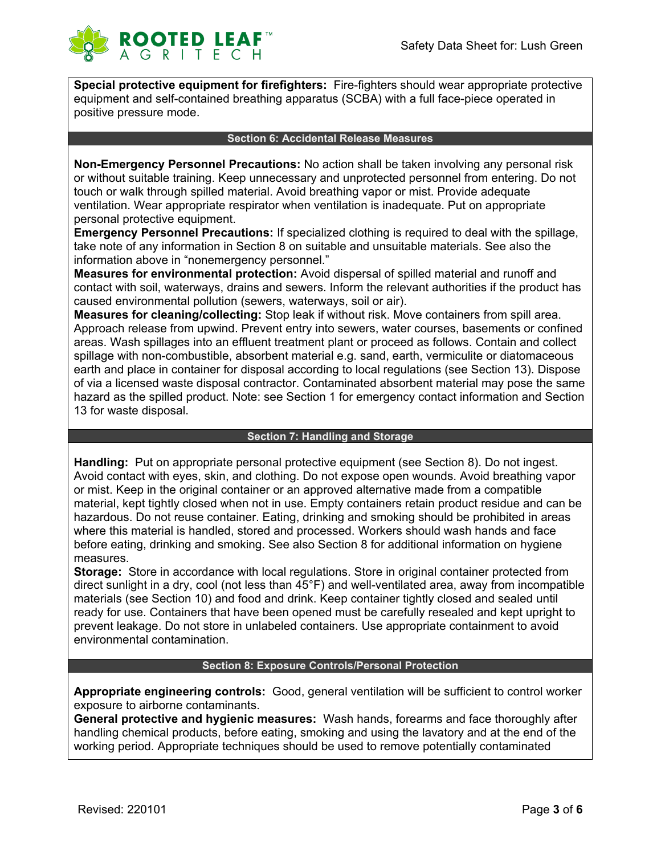

**Special protective equipment for firefighters:** Fire-fighters should wear appropriate protective equipment and self-contained breathing apparatus (SCBA) with a full face-piece operated in positive pressure mode.

#### **Section 6: Accidental Release Measures**

**Non-Emergency Personnel Precautions:** No action shall be taken involving any personal risk or without suitable training. Keep unnecessary and unprotected personnel from entering. Do not touch or walk through spilled material. Avoid breathing vapor or mist. Provide adequate ventilation. Wear appropriate respirator when ventilation is inadequate. Put on appropriate personal protective equipment.

**Emergency Personnel Precautions:** If specialized clothing is required to deal with the spillage, take note of any information in Section 8 on suitable and unsuitable materials. See also the information above in "nonemergency personnel."

**Measures for environmental protection:** Avoid dispersal of spilled material and runoff and contact with soil, waterways, drains and sewers. Inform the relevant authorities if the product has caused environmental pollution (sewers, waterways, soil or air).

**Measures for cleaning/collecting:** Stop leak if without risk. Move containers from spill area. Approach release from upwind. Prevent entry into sewers, water courses, basements or confined areas. Wash spillages into an effluent treatment plant or proceed as follows. Contain and collect spillage with non-combustible, absorbent material e.g. sand, earth, vermiculite or diatomaceous earth and place in container for disposal according to local regulations (see Section 13). Dispose of via a licensed waste disposal contractor. Contaminated absorbent material may pose the same hazard as the spilled product. Note: see Section 1 for emergency contact information and Section 13 for waste disposal.

#### **Section 7: Handling and Storage**

**Handling:** Put on appropriate personal protective equipment (see Section 8). Do not ingest. Avoid contact with eyes, skin, and clothing. Do not expose open wounds. Avoid breathing vapor or mist. Keep in the original container or an approved alternative made from a compatible material, kept tightly closed when not in use. Empty containers retain product residue and can be hazardous. Do not reuse container. Eating, drinking and smoking should be prohibited in areas where this material is handled, stored and processed. Workers should wash hands and face before eating, drinking and smoking. See also Section 8 for additional information on hygiene measures.

**Storage:** Store in accordance with local regulations. Store in original container protected from direct sunlight in a dry, cool (not less than 45°F) and well-ventilated area, away from incompatible materials (see Section 10) and food and drink. Keep container tightly closed and sealed until ready for use. Containers that have been opened must be carefully resealed and kept upright to prevent leakage. Do not store in unlabeled containers. Use appropriate containment to avoid environmental contamination.

## **Section 8: Exposure Controls/Personal Protection**

**Appropriate engineering controls:** Good, general ventilation will be sufficient to control worker exposure to airborne contaminants.

**General protective and hygienic measures:** Wash hands, forearms and face thoroughly after handling chemical products, before eating, smoking and using the lavatory and at the end of the working period. Appropriate techniques should be used to remove potentially contaminated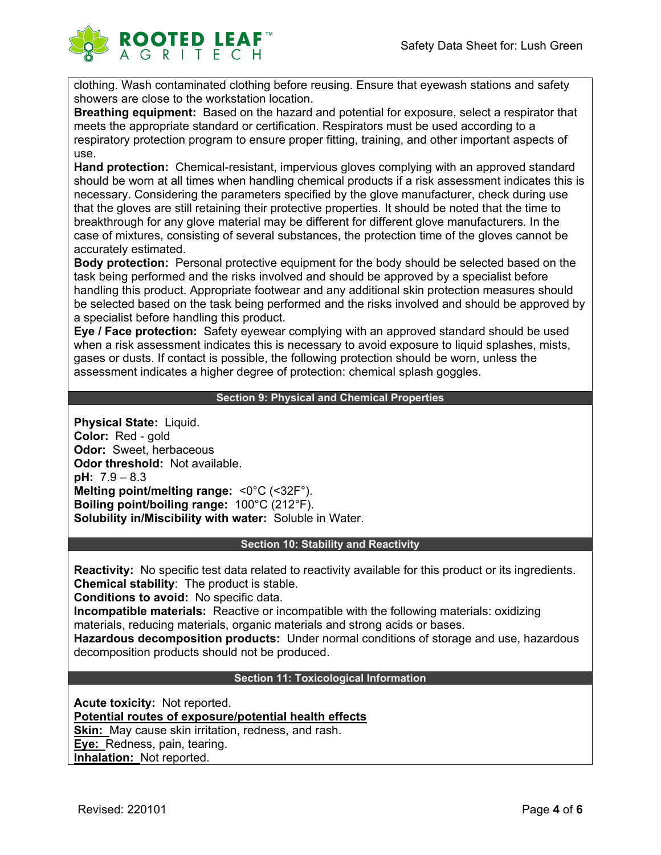

clothing. Wash contaminated clothing before reusing. Ensure that eyewash stations and safety showers are close to the workstation location.

**Breathing equipment:** Based on the hazard and potential for exposure, select a respirator that meets the appropriate standard or certification. Respirators must be used according to a respiratory protection program to ensure proper fitting, training, and other important aspects of use.

**Hand protection:** Chemical-resistant, impervious gloves complying with an approved standard should be worn at all times when handling chemical products if a risk assessment indicates this is necessary. Considering the parameters specified by the glove manufacturer, check during use that the gloves are still retaining their protective properties. It should be noted that the time to breakthrough for any glove material may be different for different glove manufacturers. In the case of mixtures, consisting of several substances, the protection time of the gloves cannot be accurately estimated.

**Body protection:** Personal protective equipment for the body should be selected based on the task being performed and the risks involved and should be approved by a specialist before handling this product. Appropriate footwear and any additional skin protection measures should be selected based on the task being performed and the risks involved and should be approved by a specialist before handling this product.

**Eye / Face protection:** Safety eyewear complying with an approved standard should be used when a risk assessment indicates this is necessary to avoid exposure to liquid splashes, mists, gases or dusts. If contact is possible, the following protection should be worn, unless the assessment indicates a higher degree of protection: chemical splash goggles.

## **Section 9: Physical and Chemical Properties**

**Physical State:** Liquid. **Color:** Red - gold **Odor:** Sweet, herbaceous **Odor threshold:** Not available. **pH:** 7.9 – 8.3 **Melting point/melting range:** <0°C (<32F°). **Boiling point/boiling range:** 100°C (212°F). **Solubility in/Miscibility with water:** Soluble in Water.

#### **Section 10: Stability and Reactivity**

**Reactivity:** No specific test data related to reactivity available for this product or its ingredients. **Chemical stability**: The product is stable.

**Conditions to avoid:** No specific data.

**Incompatible materials:** Reactive or incompatible with the following materials: oxidizing materials, reducing materials, organic materials and strong acids or bases.

**Hazardous decomposition products:** Under normal conditions of storage and use, hazardous decomposition products should not be produced.

#### **Section 11: Toxicological Information**

**Acute toxicity:** Not reported. **Potential routes of exposure/potential health effects Skin:** May cause skin irritation, redness, and rash. **Eye:** Redness, pain, tearing. **Inhalation:** Not reported.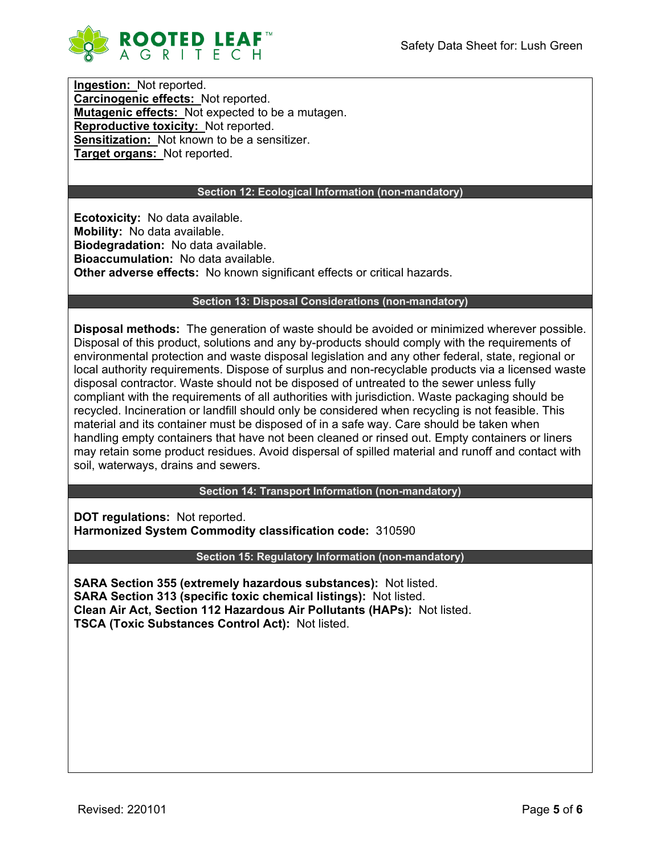

**Ingestion:** Not reported. **Carcinogenic effects:** Not reported. **Mutagenic effects:** Not expected to be a mutagen. **Reproductive toxicity:** Not reported. **Sensitization:** Not known to be a sensitizer. **Target organs:** Not reported.

## **Section 12: Ecological Information (non-mandatory)**

**Ecotoxicity:** No data available. **Mobility:** No data available. **Biodegradation:** No data available. **Bioaccumulation:** No data available. **Other adverse effects:** No known significant effects or critical hazards.

### **Section 13: Disposal Considerations (non-mandatory)**

**Disposal methods:** The generation of waste should be avoided or minimized wherever possible. Disposal of this product, solutions and any by-products should comply with the requirements of environmental protection and waste disposal legislation and any other federal, state, regional or local authority requirements. Dispose of surplus and non-recyclable products via a licensed waste disposal contractor. Waste should not be disposed of untreated to the sewer unless fully compliant with the requirements of all authorities with jurisdiction. Waste packaging should be recycled. Incineration or landfill should only be considered when recycling is not feasible. This material and its container must be disposed of in a safe way. Care should be taken when handling empty containers that have not been cleaned or rinsed out. Empty containers or liners may retain some product residues. Avoid dispersal of spilled material and runoff and contact with soil, waterways, drains and sewers.

**Section 14: Transport Information (non-mandatory)**

**DOT regulations:** Not reported. **Harmonized System Commodity classification code:** 310590

**Section 15: Regulatory Information (non-mandatory)**

**SARA Section 355 (extremely hazardous substances):** Not listed. **SARA Section 313 (specific toxic chemical listings):** Not listed. **Clean Air Act, Section 112 Hazardous Air Pollutants (HAPs):** Not listed. **TSCA (Toxic Substances Control Act):** Not listed.